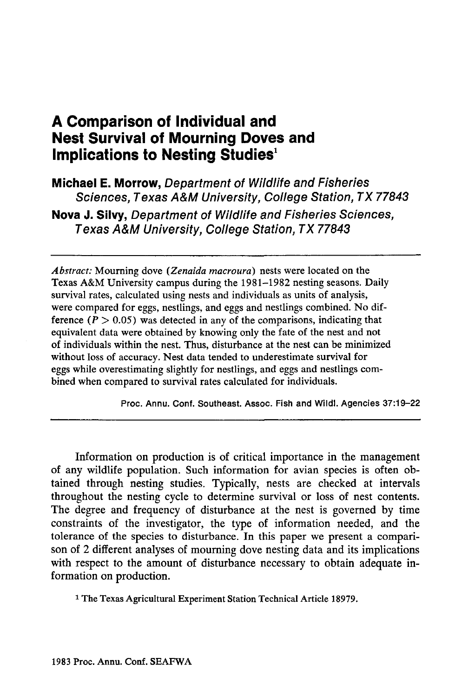# **A Comparison of Individual and Nest Survival of Mourning Doves and Implications to Nesting Studies**<sup>1</sup>

**Michael E. Morrow,** Department of Wildlife and Fisheries Sciences, Texas A&M University, College Station, TX 77843 **Nova J. Silvy,** Department of Wildlife and Fisheries Sciences, Texas A&M University, College Station, TX 77843

*Abstract:* Mourning dove *(Zenaida macroura)* nests were located on the Texas A&M University campus during the 1981-1982 nesting seasons. Daily survival rates, calculated using nests and individuals as units of analysis, were compared for eggs, nestlings, and eggs and nestlings combined. No difference  $(P > 0.05)$  was detected in any of the comparisons, indicating that equivalent data were obtained by knowing only the fate of the nest and not of individuals within the nest. Thus, disturbance at the nest can be minimized without loss of accuracy. Nest data tended to underestimate survival for eggs while overestimating slightly for nestlings, and eggs and nestlings combined when compared to survival rates calculated for individuals.

Proc. Annu. Conf. Southeast. Assoc. Fish and Wildl. Agencies 37:19-22

Information on production is of critical importance in the management of any wildlife population. Such information for avian species is often obtained through nesting studies. Typically, nests are checked at intervals throughout the nesting cycle to determine survival or loss of nest contents. The degree and frequency of disturbance at the nest is governed by time constraints of the investigator, the type of information needed, and the tolerance of the species to disturbance. In this paper we present a comparison of 2 different analyses of mourning dove nesting data and its implications with respect to the amount of disturbance necessary to obtain adequate information on production.

1 The Texas Agricultural Experiment Station Technical Article 18979.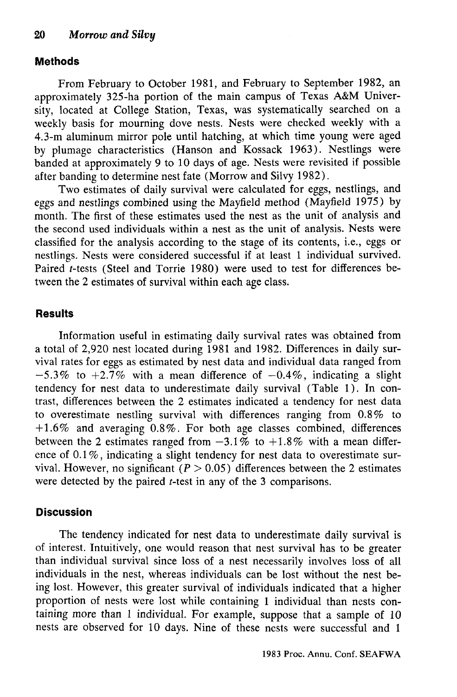### **Methods**

From February to October 1981, and February to September 1982, an approximately 325-ha portion of the main campus of Texas A&M University, located at College Station, Texas, was systematically searched on a weekly basis for mourning dove nests. Nests were checked weekly with a 4.3-m aluminum mirror pole until hatching, at which time young were aged by plumage characteristics (Hanson and Kossack 1963). Nestlings were banded at approximately 9 to 10 days of age. Nests were revisited if possible after banding to determine nest fate (Morrow and Silvy 1982).

Two estimates of daily survival were calculated for eggs, nestlings, and eggs and nestlings combined using the Mayfield method (Mayfield 1975) by month. The first of these estimates used the nest as the unit of analysis and the second used individuals within a nest as the unit of analysis. Nests were classified for the analysis according to the stage of its contents, i.e., eggs or nestlings. Nests were considered successful if at least 1 individual survived. Paired *t-tests* (Steel and Torrie 1980) were used to test for differences between the 2 estimates of survival within each age class.

#### **Results**

Information useful in estimating daily survival rates was obtained from a total of 2,920 nest located during 1981 and 1982. Differences in daily survival rates for eggs as estimated by nest data and individual data ranged from  $-5.3\%$  to  $+2.7\%$  with a mean difference of  $-0.4\%$ , indicating a slight tendency for nest data to underestimate daily survival (Table 1). In contrast, differences between the 2 estimates indicated a tendency for nest data to overestimate nestling survival with differences ranging from 0.8% to  $+1.6\%$  and averaging 0.8%. For both age classes combined, differences between the 2 estimates ranged from  $-3.1\%$  to  $+1.8\%$  with a mean difference of 0.1%, indicating a slight tendency for nest data to overestimate survival. However, no significant  $(P > 0.05)$  differences between the 2 estimates were detected by the paired *t-test* in any of the 3 comparisons.

#### **Discussion**

The tendency indicated for nest data to underestimate daily survival is of interest. Intuitively, one would reason that nest survival has to be greater than individual survival since loss of a nest necessarily involves loss of all individuals in the nest, whereas individuals can be lost without the nest being lost. However, this greater survival of individuals indicated that a higher proportion of nests were lost while containing 1 individual than nests containing more than 1 individual. For example, suppose that a sample of 10 nests are observed for 10 days. Nine of these nests were successful and 1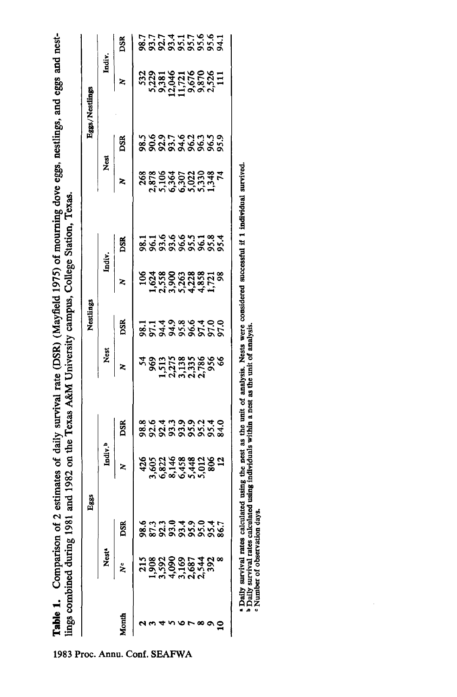Table 1. Comparison of 2 estimates of daily survival rate (DSR) (Mayfield 1975) of mourning dove eggs, nestlings, and eggs and nest-- **Table 1.** Comparison of 2 estimates of daily survival rate (DSR) (Mayfield 1975) of mourning dove eggs, nestlings, and eggs and nest- \0 lings combined during 1981 and 1982 on the Texas A&M University campus. College Station, Texas. 00 lings combined during 1981 and 1982 on the Texas A&M University campus, College Station, Texas. ...

|  |                         | Eggs                |                |                         | Nestlings              |                                             |             |                                             |                         | Eggs/Nestlings         |            |
|--|-------------------------|---------------------|----------------|-------------------------|------------------------|---------------------------------------------|-------------|---------------------------------------------|-------------------------|------------------------|------------|
|  |                         | Indiv. <sup>b</sup> |                | Nest                    |                        | Indiv.                                      |             | Nest                                        |                         | Indiv.                 |            |
|  |                         |                     | ĎŠR            |                         | DSR                    |                                             |             |                                             |                         |                        |            |
|  |                         |                     |                |                         |                        |                                             |             |                                             |                         |                        |            |
|  | 9339339358<br>858558588 |                     | 8<br>888888888 | 28012828888888888888888 | 114989400<br>853388555 | 1938003385718<br>193800338571<br>1938044451 | = 199991383 | 268<br>878 344 5522<br>5878 56223 584<br>74 | さらのいいにはさい。<br>888888888 | 5328145166826711832682 | 7777778997 |
|  |                         |                     |                |                         |                        |                                             |             |                                             |                         |                        |            |
|  |                         |                     |                |                         |                        |                                             |             |                                             |                         |                        |            |
|  |                         |                     |                |                         |                        |                                             |             |                                             |                         |                        |            |
|  |                         |                     |                |                         |                        |                                             |             |                                             |                         |                        |            |
|  |                         |                     |                |                         |                        |                                             |             |                                             |                         |                        |            |
|  |                         |                     |                |                         |                        |                                             |             |                                             |                         |                        |            |
|  |                         |                     |                |                         |                        |                                             |             |                                             |                         |                        |            |

a Daily survival rates calculated using the nest as the unit of analysis. Nests were considered successful if 1 individual survived.<br>b Daily survival rates calculated using individuals within a nest as the unit of analysis a Daily survival rates calculated using the nest as the unit of analysis. Nests were considered successful if 1 individual survived.<br>b Daily survival rates calculated using individuals within a nest as the unit of analysis